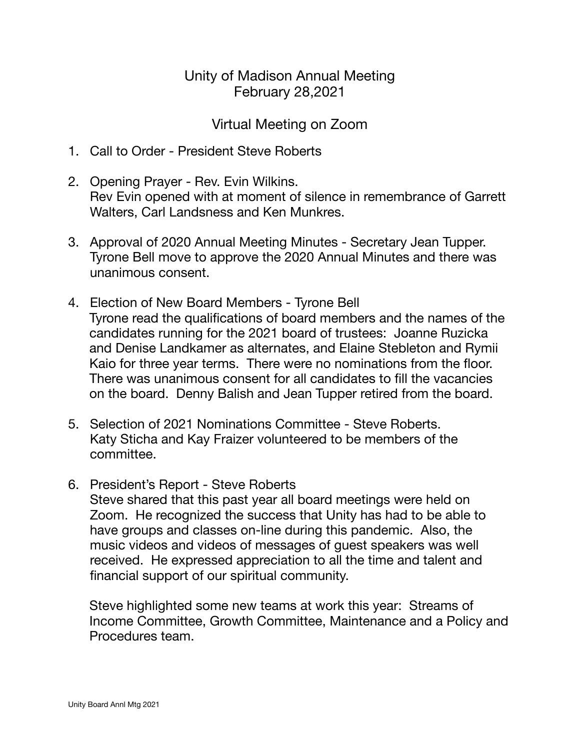## Unity of Madison Annual Meeting February 28,2021

## Virtual Meeting on Zoom

- 1. Call to Order President Steve Roberts
- 2. Opening Prayer Rev. Evin Wilkins. Rev Evin opened with at moment of silence in remembrance of Garrett Walters, Carl Landsness and Ken Munkres.
- 3. Approval of 2020 Annual Meeting Minutes Secretary Jean Tupper. Tyrone Bell move to approve the 2020 Annual Minutes and there was unanimous consent.
- 4. Election of New Board Members Tyrone Bell Tyrone read the qualifications of board members and the names of the candidates running for the 2021 board of trustees: Joanne Ruzicka and Denise Landkamer as alternates, and Elaine Stebleton and Rymii Kaio for three year terms. There were no nominations from the floor. There was unanimous consent for all candidates to fill the vacancies on the board. Denny Balish and Jean Tupper retired from the board.
- 5. Selection of 2021 Nominations Committee Steve Roberts. Katy Sticha and Kay Fraizer volunteered to be members of the committee.
- 6. President's Report Steve Roberts

Steve shared that this past year all board meetings were held on Zoom. He recognized the success that Unity has had to be able to have groups and classes on-line during this pandemic. Also, the music videos and videos of messages of guest speakers was well received. He expressed appreciation to all the time and talent and financial support of our spiritual community.

Steve highlighted some new teams at work this year: Streams of Income Committee, Growth Committee, Maintenance and a Policy and Procedures team.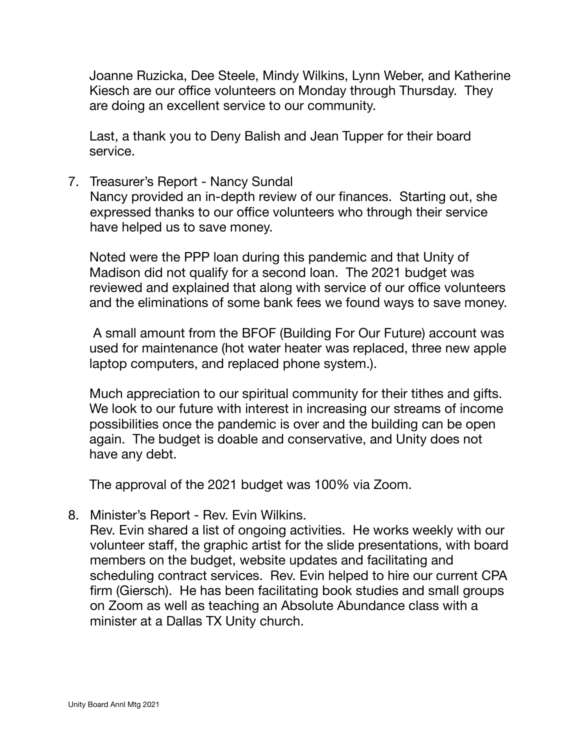Joanne Ruzicka, Dee Steele, Mindy Wilkins, Lynn Weber, and Katherine Kiesch are our office volunteers on Monday through Thursday. They are doing an excellent service to our community.

Last, a thank you to Deny Balish and Jean Tupper for their board service.

7. Treasurer's Report - Nancy Sundal

Nancy provided an in-depth review of our finances. Starting out, she expressed thanks to our office volunteers who through their service have helped us to save money.

Noted were the PPP loan during this pandemic and that Unity of Madison did not qualify for a second loan. The 2021 budget was reviewed and explained that along with service of our office volunteers and the eliminations of some bank fees we found ways to save money.

 A small amount from the BFOF (Building For Our Future) account was used for maintenance (hot water heater was replaced, three new apple laptop computers, and replaced phone system.).

Much appreciation to our spiritual community for their tithes and gifts. We look to our future with interest in increasing our streams of income possibilities once the pandemic is over and the building can be open again. The budget is doable and conservative, and Unity does not have any debt.

The approval of the 2021 budget was 100% via Zoom.

8. Minister's Report - Rev. Evin Wilkins.

Rev. Evin shared a list of ongoing activities. He works weekly with our volunteer staff, the graphic artist for the slide presentations, with board members on the budget, website updates and facilitating and scheduling contract services. Rev. Evin helped to hire our current CPA firm (Giersch). He has been facilitating book studies and small groups on Zoom as well as teaching an Absolute Abundance class with a minister at a Dallas TX Unity church.